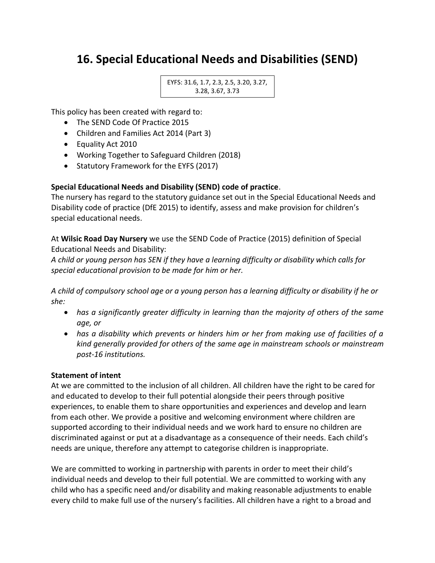# **16. Special Educational Needs and Disabilities (SEND)**

```
EYFS: 31.6, 1.7, 2.3, 2.5, 3.20, 3.27, 
3.28, 3.67, 3.73
```
This policy has been created with regard to:

- The SEND Code Of Practice 2015
- Children and Families Act 2014 (Part 3)
- Equality Act 2010
- Working Together to Safeguard Children (2018)
- Statutory Framework for the EYFS (2017)

### **Special Educational Needs and Disability (SEND) code of practice**.

The nursery has regard to the statutory guidance set out in the Special Educational Needs and Disability code of practice (DfE 2015) to identify, assess and make provision for children's special educational needs.

At **Wilsic Road Day Nursery** we use the SEND Code of Practice (2015) definition of Special Educational Needs and Disability:

*A child or young person has SEN if they have a learning difficulty or disability which calls for special educational provision to be made for him or her.*

*A child of compulsory school age or a young person has a learning difficulty or disability if he or she:*

- *has a significantly greater difficulty in learning than the majority of others of the same age, or*
- *has a disability which prevents or hinders him or her from making use of facilities of a kind generally provided for others of the same age in mainstream schools or mainstream post-16 institutions.*

#### **Statement of intent**

At we are committed to the inclusion of all children. All children have the right to be cared for and educated to develop to their full potential alongside their peers through positive experiences, to enable them to share opportunities and experiences and develop and learn from each other. We provide a positive and welcoming environment where children are supported according to their individual needs and we work hard to ensure no children are discriminated against or put at a disadvantage as a consequence of their needs. Each child's needs are unique, therefore any attempt to categorise children is inappropriate.

We are committed to working in partnership with parents in order to meet their child's individual needs and develop to their full potential. We are committed to working with any child who has a specific need and/or disability and making reasonable adjustments to enable every child to make full use of the nursery's facilities. All children have a right to a broad and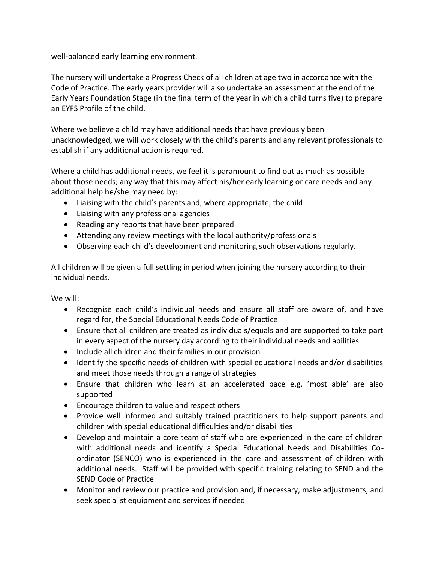well-balanced early learning environment.

The nursery will undertake a Progress Check of all children at age two in accordance with the Code of Practice. The early years provider will also undertake an assessment at the end of the Early Years Foundation Stage (in the final term of the year in which a child turns five) to prepare an EYFS Profile of the child.

Where we believe a child may have additional needs that have previously been unacknowledged, we will work closely with the child's parents and any relevant professionals to establish if any additional action is required.

Where a child has additional needs, we feel it is paramount to find out as much as possible about those needs; any way that this may affect his/her early learning or care needs and any additional help he/she may need by:

- Liaising with the child's parents and, where appropriate, the child
- Liaising with any professional agencies
- Reading any reports that have been prepared
- Attending any review meetings with the local authority/professionals
- Observing each child's development and monitoring such observations regularly.

All children will be given a full settling in period when joining the nursery according to their individual needs.

We will:

- Recognise each child's individual needs and ensure all staff are aware of, and have regard for, the Special Educational Needs Code of Practice
- Ensure that all children are treated as individuals/equals and are supported to take part in every aspect of the nursery day according to their individual needs and abilities
- Include all children and their families in our provision
- Identify the specific needs of children with special educational needs and/or disabilities and meet those needs through a range of strategies
- Ensure that children who learn at an accelerated pace e.g. 'most able' are also supported
- Encourage children to value and respect others
- Provide well informed and suitably trained practitioners to help support parents and children with special educational difficulties and/or disabilities
- Develop and maintain a core team of staff who are experienced in the care of children with additional needs and identify a Special Educational Needs and Disabilities Coordinator (SENCO) who is experienced in the care and assessment of children with additional needs. Staff will be provided with specific training relating to SEND and the SEND Code of Practice
- Monitor and review our practice and provision and, if necessary, make adjustments, and seek specialist equipment and services if needed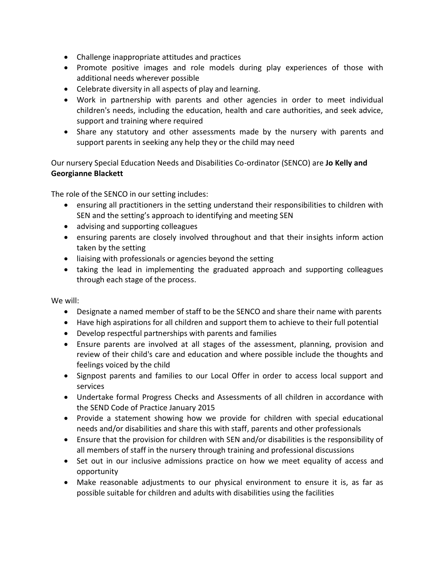- Challenge inappropriate attitudes and practices
- Promote positive images and role models during play experiences of those with additional needs wherever possible
- Celebrate diversity in all aspects of play and learning.
- Work in partnership with parents and other agencies in order to meet individual children's needs, including the education, health and care authorities, and seek advice, support and training where required
- Share any statutory and other assessments made by the nursery with parents and support parents in seeking any help they or the child may need

Our nursery Special Education Needs and Disabilities Co-ordinator (SENCO) are **Jo Kelly and Georgianne Blackett**

The role of the SENCO in our setting includes:

- ensuring all practitioners in the setting understand their responsibilities to children with SEN and the setting's approach to identifying and meeting SEN
- advising and supporting colleagues
- ensuring parents are closely involved throughout and that their insights inform action taken by the setting
- liaising with professionals or agencies beyond the setting
- taking the lead in implementing the graduated approach and supporting colleagues through each stage of the process.

We will:

- Designate a named member of staff to be the SENCO and share their name with parents
- Have high aspirations for all children and support them to achieve to their full potential
- Develop respectful partnerships with parents and families
- Ensure parents are involved at all stages of the assessment, planning, provision and review of their child's care and education and where possible include the thoughts and feelings voiced by the child
- Signpost parents and families to our Local Offer in order to access local support and services
- Undertake formal Progress Checks and Assessments of all children in accordance with the SEND Code of Practice January 2015
- Provide a statement showing how we provide for children with special educational needs and/or disabilities and share this with staff, parents and other professionals
- Ensure that the provision for children with SEN and/or disabilities is the responsibility of all members of staff in the nursery through training and professional discussions
- Set out in our inclusive admissions practice on how we meet equality of access and opportunity
- Make reasonable adjustments to our physical environment to ensure it is, as far as possible suitable for children and adults with disabilities using the facilities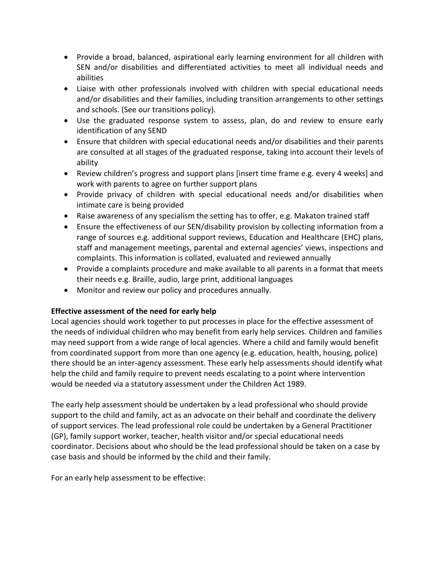- Provide a broad, balanced, aspirational early learning environment for all children with SEN and/or disabilities and differentiated activities to meet all individual needs and abilities
- Liaise with other professionals involved with children with special educational needs and/or disabilities and their families, including transition arrangements to other settings and schools. (See our transitions policy).
- Use the graduated response system to assess, plan, do and review to ensure early identification of any SEND
- Ensure that children with special educational needs and/or disabilities and their parents are consulted at all stages of the graduated response, taking into account their levels of ability
- Review children's progress and support plans [insert time frame e.g. every 4 weeks] and work with parents to agree on further support plans
- Provide privacy of children with special educational needs and/or disabilities when intimate care is being provided
- Raise awareness of any specialism the setting has to offer, e.g. Makaton trained staff
- Ensure the effectiveness of our SEN/disability provision by collecting information from a range of sources e.g. additional support reviews, Education and Healthcare (EHC) plans, staff and management meetings, parental and external agencies' views, inspections and complaints. This information is collated, evaluated and reviewed annually
- Provide a complaints procedure and make available to all parents in a format that meets their needs e.g. Braille, audio, large print, additional languages
- Monitor and review our policy and procedures annually.

# **Effective assessment of the need for early help**

Local agencies should work together to put processes in place for the effective assessment of the needs of individual children who may benefit from early help services. Children and families may need support from a wide range of local agencies. Where a child and family would benefit from coordinated support from more than one agency (e.g. education, health, housing, police) there should be an inter-agency assessment. These early help assessments should identify what help the child and family require to prevent needs escalating to a point where intervention would be needed via a statutory assessment under the Children Act 1989.

The early help assessment should be undertaken by a lead professional who should provide support to the child and family, act as an advocate on their behalf and coordinate the delivery of support services. The lead professional role could be undertaken by a General Practitioner (GP), family support worker, teacher, health visitor and/or special educational needs coordinator. Decisions about who should be the lead professional should be taken on a case by case basis and should be informed by the child and their family.

For an early help assessment to be effective: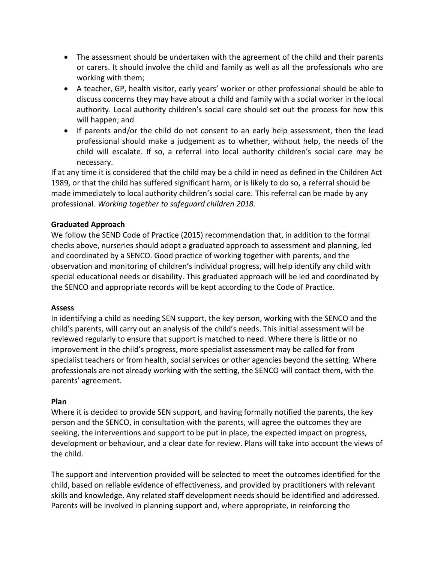- The assessment should be undertaken with the agreement of the child and their parents or carers. It should involve the child and family as well as all the professionals who are working with them;
- A teacher, GP, health visitor, early years' worker or other professional should be able to discuss concerns they may have about a child and family with a social worker in the local authority. Local authority children's social care should set out the process for how this will happen; and
- If parents and/or the child do not consent to an early help assessment, then the lead professional should make a judgement as to whether, without help, the needs of the child will escalate. If so, a referral into local authority children's social care may be necessary.

If at any time it is considered that the child may be a child in need as defined in the Children Act 1989, or that the child has suffered significant harm, or is likely to do so, a referral should be made immediately to local authority children's social care. This referral can be made by any professional. *Working together to safeguard children 2018.*

# **Graduated Approach**

We follow the SEND Code of Practice (2015) recommendation that, in addition to the formal checks above, nurseries should adopt a graduated approach to assessment and planning, led and coordinated by a SENCO. Good practice of working together with parents, and the observation and monitoring of children's individual progress, will help identify any child with special educational needs or disability. This graduated approach will be led and coordinated by the SENCO and appropriate records will be kept according to the Code of Practice.

# **Assess**

In identifying a child as needing SEN support, the key person, working with the SENCO and the child's parents, will carry out an analysis of the child's needs. This initial assessment will be reviewed regularly to ensure that support is matched to need. Where there is little or no improvement in the child's progress, more specialist assessment may be called for from specialist teachers or from health, social services or other agencies beyond the setting. Where professionals are not already working with the setting, the SENCO will contact them, with the parents' agreement.

#### **Plan**

Where it is decided to provide SEN support, and having formally notified the parents, the key person and the SENCO, in consultation with the parents, will agree the outcomes they are seeking, the interventions and support to be put in place, the expected impact on progress, development or behaviour, and a clear date for review. Plans will take into account the views of the child.

The support and intervention provided will be selected to meet the outcomes identified for the child, based on reliable evidence of effectiveness, and provided by practitioners with relevant skills and knowledge. Any related staff development needs should be identified and addressed. Parents will be involved in planning support and, where appropriate, in reinforcing the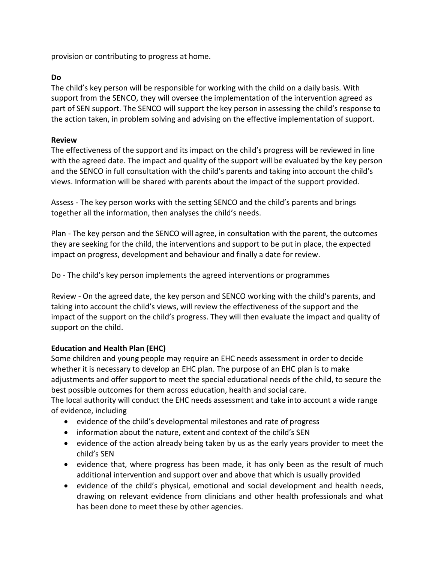provision or contributing to progress at home.

### **Do**

The child's key person will be responsible for working with the child on a daily basis. With support from the SENCO, they will oversee the implementation of the intervention agreed as part of SEN support. The SENCO will support the key person in assessing the child's response to the action taken, in problem solving and advising on the effective implementation of support.

#### **Review**

The effectiveness of the support and its impact on the child's progress will be reviewed in line with the agreed date. The impact and quality of the support will be evaluated by the key person and the SENCO in full consultation with the child's parents and taking into account the child's views. Information will be shared with parents about the impact of the support provided.

Assess - The key person works with the setting SENCO and the child's parents and brings together all the information, then analyses the child's needs.

Plan - The key person and the SENCO will agree, in consultation with the parent, the outcomes they are seeking for the child, the interventions and support to be put in place, the expected impact on progress, development and behaviour and finally a date for review.

Do - The child's key person implements the agreed interventions or programmes

Review - On the agreed date, the key person and SENCO working with the child's parents, and taking into account the child's views, will review the effectiveness of the support and the impact of the support on the child's progress. They will then evaluate the impact and quality of support on the child.

# **Education and Health Plan (EHC)**

Some children and young people may require an EHC needs assessment in order to decide whether it is necessary to develop an EHC plan. The purpose of an EHC plan is to make adjustments and offer support to meet the special educational needs of the child, to secure the best possible outcomes for them across education, health and social care.

The local authority will conduct the EHC needs assessment and take into account a wide range of evidence, including

- evidence of the child's developmental milestones and rate of progress
- information about the nature, extent and context of the child's SEN
- evidence of the action already being taken by us as the early years provider to meet the child's SEN
- evidence that, where progress has been made, it has only been as the result of much additional intervention and support over and above that which is usually provided
- evidence of the child's physical, emotional and social development and health needs, drawing on relevant evidence from clinicians and other health professionals and what has been done to meet these by other agencies.